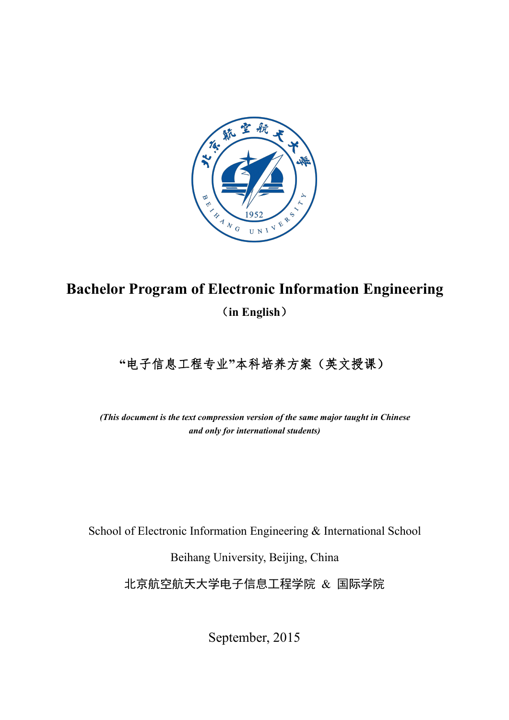

# **Bachelor Program of Electronic Information Engineering** (**in English**)

# **"**电子信息工程专业**"**本科培养方案(英文授课)

*(This document is the text compression version of the same major taught in Chinese and only for international students)*

School of Electronic Information Engineering & International School

Beihang University, Beijing, China

北京航空航天大学电子信息工程学院 & 国际学院

September, 2015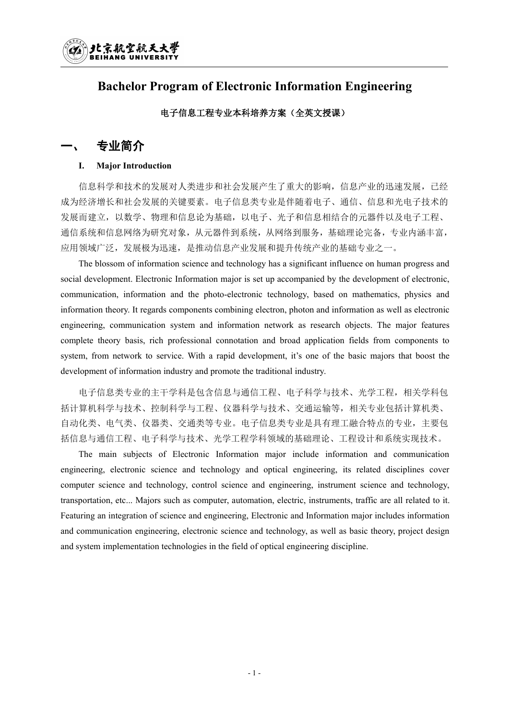

### **Bachelor Program of Electronic Information Engineering**

### 电子信息工程专业本科培养方案(全英文授课)

### 一、 专业简介

#### **I. Major Introduction**

信息科学和技术的发展对人类进步和社会发展产生了重大的影响,信息产业的迅速发展,已经 成为经济增长和社会发展的关键要素。电子信息类专业是伴随着电子、通信、信息和光电子技术的 发展而建立,以数学、物理和信息论为基础,以电子、光子和信息相结合的元器件以及电子工程、 通信系统和信息网络为研究对象,从元器件到系统,从网络到服务,基础理论完备,专业内涵丰富, 应用领域广泛,发展极为迅速,是推动信息产业发展和提升传统产业的基础专业之一。

The blossom of information science and technology has a significant influence on human progress and social development. Electronic Information major is set up accompanied by the development of electronic, communication, information and the photo-electronic technology, based on mathematics, physics and information theory. It regards components combining electron, photon and information as well as electronic engineering, communication system and information network as research objects. The major features complete theory basis, rich professional connotation and broad application fields from components to system, from network to service. With a rapid development, it's one of the basic majors that boost the development of information industry and promote the traditional industry.

电子信息类专业的主干学科是包含信息与通信工程、电子科学与技术、光学工程,相关学科包 括计算机科学与技术、控制科学与工程、仪器科学与技术、交通运输等,相关专业包括计算机类、 自动化类、电气类、仪器类、交通类等专业。电子信息类专业是具有理工融合特点的专业,主要包 括信息与通信工程、电子科学与技术、光学工程学科领域的基础理论、工程设计和系统实现技术。

The main subjects of Electronic Information major include information and communication engineering, electronic science and technology and optical engineering, its related disciplines cover computer science and technology, control science and engineering, instrument science and technology, transportation, etc... Majors such as computer, automation, electric, instruments, traffic are all related to it. Featuring an integration of science and engineering, Electronic and Information major includes information and communication engineering, electronic science and technology, as well as basic theory, project design and system implementation technologies in the field of optical engineering discipline.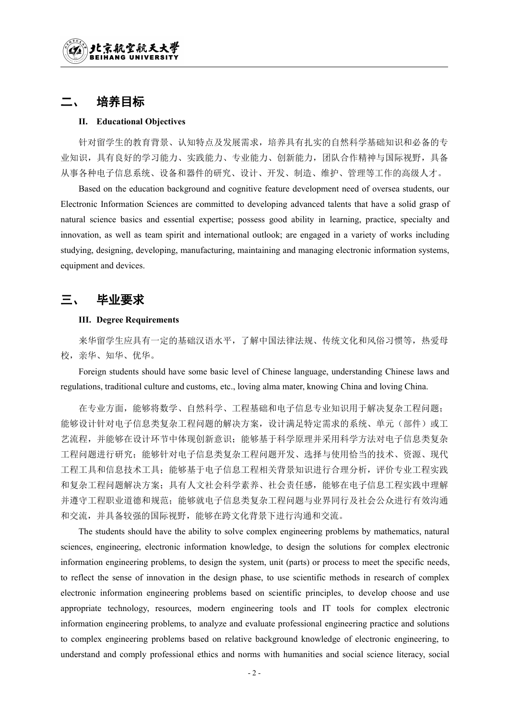### 培养目标

#### **II. Educational Objectives**

针对留学生的教育背景、认知特点及发展需求,培养具有扎实的自然科学基础知识和必备的专 业知识,具有良好的学习能力、实践能力、专业能力、创新能力,团队合作精神与国际视野,具备 从事各种电子信息系统、设备和器件的研究、设计、开发、制造、维护、管理等工作的高级人才。

Based on the education background and cognitive feature development need of oversea students, our Electronic Information Sciences are committed to developing advanced talents that have a solid grasp of natural science basics and essential expertise; possess good ability in learning, practice, specialty and innovation, as well as team spirit and international outlook; are engaged in a variety of works including studying, designing, developing, manufacturing, maintaining and managing electronic information systems, equipment and devices.

### 三、 毕业要求

#### **III. Degree Requirements**

来华留学生应具有一定的基础汉语水平,了解中国法律法规、传统文化和风俗习惯等,热爱母 校,亲华、知华、优华。

Foreign students should have some basic level of Chinese language, understanding Chinese laws and regulations, traditional culture and customs, etc., loving alma mater, knowing China and loving China.

在专业方面,能够将数学、自然科学、工程基础和电子信息专业知识用于解决复杂工程问题; 能够设计针对电子信息类复杂工程问题的解决方案,设计满足特定需求的系统、单元(部件)或工 艺流程,并能够在设计环节中体现创新意识;能够基于科学原理并采用科学方法对电子信息类复杂 工程问题进行研究;能够针对电子信息类复杂工程问题开发、选择与使用恰当的技术、资源、现代 工程工具和信息技术工具;能够基于电子信息工程相关背景知识进行合理分析,评价专业工程实践 和复杂工程问题解决方案;具有人文社会科学素养、社会责任感,能够在电子信息工程实践中理解 并遵守工程职业道德和规范;能够就电子信息类复杂工程问题与业界同行及社会公众进行有效沟通 和交流,并具备较强的国际视野,能够在跨文化背景下进行沟通和交流。

The students should have the ability to solve complex engineering problems by mathematics, natural sciences, engineering, electronic information knowledge, to design the solutions for complex electronic information engineering problems, to design the system, unit (parts) or process to meet the specific needs, to reflect the sense of innovation in the design phase, to use scientific methods in research of complex electronic information engineering problems based on scientific principles, to develop choose and use appropriate technology, resources, modern engineering tools and IT tools for complex electronic information engineering problems, to analyze and evaluate professional engineering practice and solutions to complex engineering problems based on relative background knowledge of electronic engineering, to understand and comply professional ethics and norms with humanities and social science literacy, social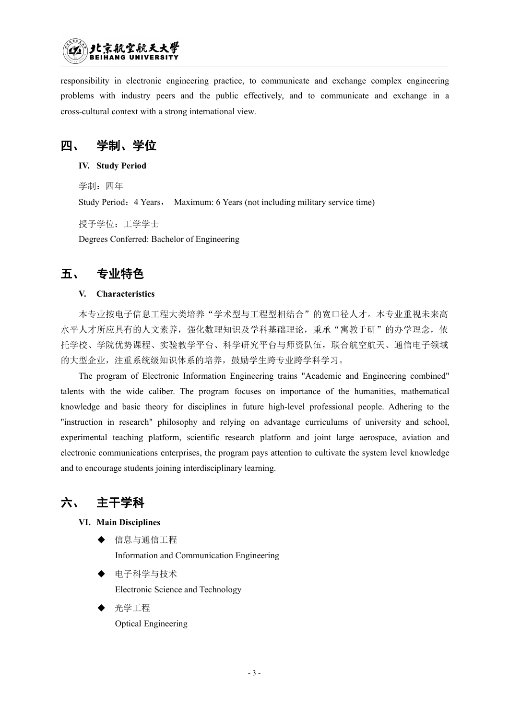

responsibility in electronic engineering practice, to communicate and exchange complex engineering problems with industry peers and the public effectively, and to communicate and exchange in a cross-cultural context with a strong international view.

四、 学制、学位

**IV. Study Period**

学制: 四年 Study Period: 4 Years, Maximum: 6 Years (not including military service time) 授予学位:工学学士

Degrees Conferred: Bachelor of Engineering

### 五、 专业特色

### **V. Characteristics**

本专业按电子信息工程大类培养"学术型与工程型相结合"的宽口径人才。本专业重视未来高 水平人才所应具有的人文素养,强化数理知识及学科基础理论,秉承"寓教于研"的办学理念,依 托学校、学院优势课程、实验教学平台、科学研究平台与师资队伍,联合航空航天、通信电子领域 的大型企业,注重系统级知识体系的培养,鼓励学生跨专业跨学科学习。

The program of Electronic Information Engineering trains "Academic and Engineering combined" talents with the wide caliber. The program focuses on importance of the humanities, mathematical knowledge and basic theory for disciplines in future high-level professional people. Adhering to the "instruction in research" philosophy and relying on advantage curriculums of university and school, experimental teaching platform, scientific research platform and joint large aerospace, aviation and electronic communications enterprises, the program pays attention to cultivate the system level knowledge and to encourage students joining interdisciplinary learning.

## 六、 主干学科

#### **VI. Main Disciplines**

信息与通信工程

Information and Communication Engineering

- 电子科学与技术 Electronic Science and Technology
- 光学工程 Optical Engineering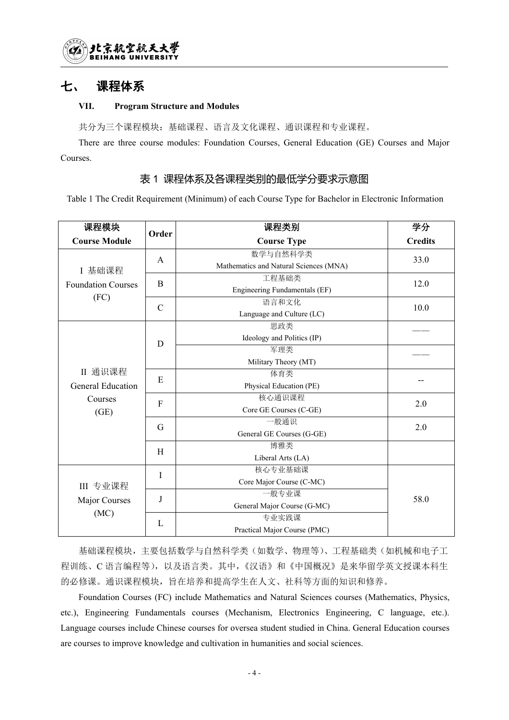### 七、 课程体系

### **VII. Program Structure and Modules**

共分为三个课程模块:基础课程、语言及文化课程、通识课程和专业课程。

There are three course modules: Foundation Courses, General Education (GE) Courses and Major Courses.

### 表 1 课程体系及各课程类别的最低学分要求示意图

Table 1 The Credit Requirement (Minimum) of each Course Type for Bachelor in Electronic Information

| 课程模块                      | Order        | 课程类别                                   | 学分             |
|---------------------------|--------------|----------------------------------------|----------------|
| <b>Course Module</b>      |              | <b>Course Type</b>                     | <b>Credits</b> |
|                           | $\mathbf{A}$ | 数学与自然科学类                               | 33.0           |
| I 基础课程                    |              | Mathematics and Natural Sciences (MNA) |                |
| <b>Foundation Courses</b> | $\, {\bf B}$ | 工程基础类                                  | 12.0           |
|                           |              | <b>Engineering Fundamentals (EF)</b>   |                |
| (FC)                      | $\mathbf C$  | 语言和文化                                  | 10.0           |
|                           |              | Language and Culture (LC)              |                |
|                           |              | 思政类                                    |                |
|                           | $\mathbf D$  | Ideology and Politics (IP)             |                |
|                           |              | 军理类                                    |                |
|                           |              | Military Theory (MT)                   |                |
| II 通识课程                   | $\mathbf E$  | 体育类                                    | --             |
| <b>General Education</b>  |              | Physical Education (PE)                |                |
| Courses                   | ${\bf F}$    | 核心通识课程                                 | 2.0            |
| (GE)                      |              | Core GE Courses (C-GE)                 |                |
|                           | G            | 一般通识                                   | 2.0            |
|                           |              | General GE Courses (G-GE)              |                |
|                           | H            | 博雅类                                    |                |
|                           |              | Liberal Arts (LA)                      |                |
|                           | I            | 核心专业基础课                                |                |
| III 专业课程                  |              | Core Major Course (C-MC)               |                |
| Major Courses             | $\mathbf J$  | 一般专业课                                  | 58.0           |
|                           |              | General Major Course (G-MC)            |                |
| (MC)                      | L            | 专业实践课                                  |                |
|                           |              | Practical Major Course (PMC)           |                |

基础课程模块,主要包括数学与自然科学类(如数学、物理等)、工程基础类(如机械和电子工 程训练、C 语言编程等),以及语言类。其中,《汉语》和《中国概况》是来华留学英文授课本科生 的必修课。通识课程模块,旨在培养和提高学生在人文、社科等方面的知识和修养。

Foundation Courses (FC) include Mathematics and Natural Sciences courses (Mathematics, Physics, etc.), Engineering Fundamentals courses (Mechanism, Electronics Engineering, C language, etc.). Language courses include Chinese courses for oversea student studied in China. General Education courses are courses to improve knowledge and cultivation in humanities and social sciences.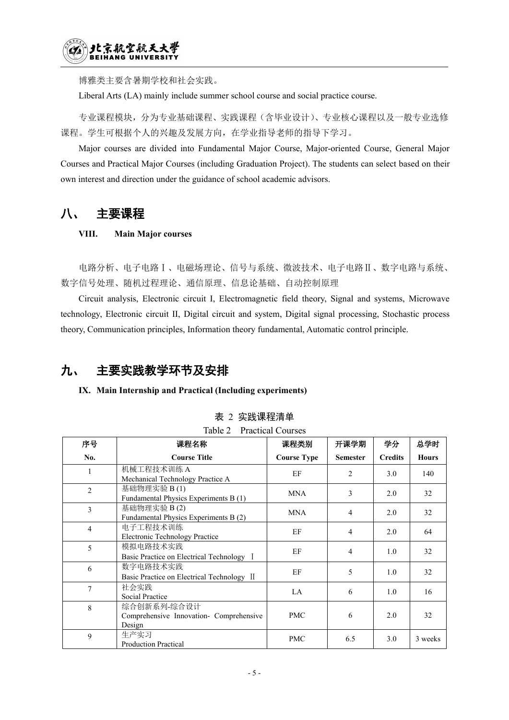博雅类主要含暑期学校和社会实践。

Liberal Arts (LA) mainly include summer school course and social practice course.

专业课程模块,分为专业基础课程、实践课程(含毕业设计)、专业核心课程以及一般专业选修 课程。学生可根据个人的兴趣及发展方向,在学业指导老师的指导下学习。

Major courses are divided into Fundamental Major Course, Major-oriented Course, General Major Courses and Practical Major Courses (including Graduation Project). The students can select based on their own interest and direction under the guidance of school academic advisors.

## 八、 主要课程

### **VIII. Main Major courses**

电路分析、电子电路Ⅰ、电磁场理论、信号与系统、微波技术、电子电路Ⅱ、数字电路与系统、 数字信号处理、随机过程理论、通信原理、信息论基础、自动控制原理

Circuit analysis, Electronic circuit I, Electromagnetic field theory, Signal and systems, Microwave technology, Electronic circuit II, Digital circuit and system, Digital signal processing, Stochastic process theory, Communication principles, Information theory fundamental, Automatic control principle.

## 九、 主要实践教学环节及安排

### **IX. Main Internship and Practical (Including experiments)**

| 序号             | 课程名称                                                             | 课程类别               | 开课学期            | 学分             | 总学时          |
|----------------|------------------------------------------------------------------|--------------------|-----------------|----------------|--------------|
| No.            | <b>Course Title</b>                                              | <b>Course Type</b> | <b>Semester</b> | <b>Credits</b> | <b>Hours</b> |
|                | 机械工程技术训练 A<br>Mechanical Technology Practice A                   | EF                 | 2               | 3.0            | 140          |
| 2              | 基础物理实验 B(1)<br>Fundamental Physics Experiments B (1)             | <b>MNA</b>         | 3               | 2.0            | 32           |
| 3              | 基础物理实验 B(2)<br>Fundamental Physics Experiments B (2)             | <b>MNA</b>         | $\overline{4}$  | 2.0            | 32           |
| $\overline{4}$ | 电子工程技术训练<br><b>Electronic Technology Practice</b>                | EF                 | $\overline{4}$  | 2.0            | 64           |
| 5              | 模拟电路技术实践<br>Basic Practice on Electrical Technology I            | EF                 | $\overline{4}$  | 1.0            | 32           |
| 6              | 数字电路技术实践<br>Basic Practice on Electrical Technology II           | EF                 | 5               | 1.0            | 32           |
| 7              | 社会实践<br><b>Social Practice</b>                                   | LA                 | 6               | 1.0            | 16           |
| 8              | 综合创新系列-综合设计<br>Comprehensive Innovation- Comprehensive<br>Design | <b>PMC</b>         | 6               | 2.0            | 32           |
| 9              | 生产实习<br><b>Production Practical</b>                              | <b>PMC</b>         | 6.5             | 3.0            | 3 weeks      |

表 2 实践课程清单

|  | Table 2 Practical Courses |  |
|--|---------------------------|--|
|--|---------------------------|--|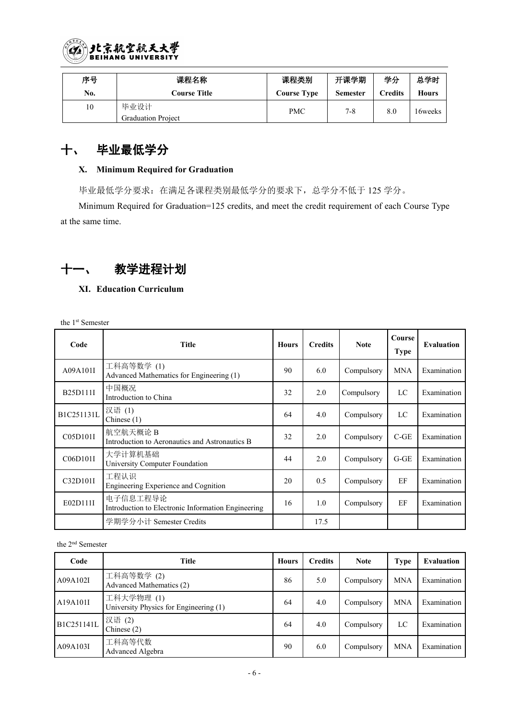

| 序号  | 课程名称                      | 课程类别                | 开课学期     | 学分     | 总学时          |
|-----|---------------------------|---------------------|----------|--------|--------------|
| No. | C <b>ourse Title</b>      | C <b>ourse Type</b> | Semester | redits | <b>Hours</b> |
| 10  | 毕业设计                      | PMC                 | $7 - 8$  | 8.0    | 16weeks      |
|     | <b>Graduation Project</b> |                     |          |        |              |

## 十、 毕业最低学分

### **X. Minimum Required for Graduation**

毕业最低学分要求:在满足各课程类别最低学分的要求下,总学分不低于 125 学分。

Minimum Required for Graduation=125 credits, and meet the credit requirement of each Course Type at the same time.

# 十一、 教学进程计划

### **XI. Education Curriculum**

the 1 st Semester

| Code       | <b>Title</b>                                                   | <b>Hours</b> | <b>Credits</b> | <b>Note</b> | Course<br><b>Type</b> | Evaluation  |
|------------|----------------------------------------------------------------|--------------|----------------|-------------|-----------------------|-------------|
| A09A101I   | 工科高等数学(1)<br>Advanced Mathematics for Engineering (1)          | 90           | 6.0            | Compulsory  | <b>MNA</b>            | Examination |
| B25D111I   | 中国概况<br>Introduction to China                                  | 32           | 2.0            | Compulsory  | LC                    | Examination |
| B1C251131L | 汉语(1)<br>Chinese $(1)$                                         | 64           | 4.0            | Compulsory  | LC                    | Examination |
| C05D101I   | 航空航天概论 B<br>Introduction to Aeronautics and Astronautics B     | 32           | 2.0            | Compulsory  | $C-GE$                | Examination |
| C06D101I   | 大学计算机基础<br>University Computer Foundation                      | 44           | 2.0            | Compulsory  | $G-GE$                | Examination |
| C32D101I   | 工程认识<br>Engineering Experience and Cognition                   | 20           | 0.5            | Compulsory  | EF                    | Examination |
| E02D111I   | 电子信息工程导论<br>Introduction to Electronic Information Engineering | 16           | 1.0            | Compulsory  | EF                    | Examination |
|            | 学期学分小计 Semester Credits                                        |              | 17.5           |             |                       |             |

the 2 nd Semester

| Code       | <b>Title</b>                                        | Hours | <b>Credits</b> | <b>Note</b> | Type       | Evaluation  |
|------------|-----------------------------------------------------|-------|----------------|-------------|------------|-------------|
| A09A102I   | 工科高等数学(2)<br>Advanced Mathematics (2)               | 86    | 5.0            | Compulsory  | <b>MNA</b> | Examination |
| A19A101I   | 工科大学物理(1)<br>University Physics for Engineering (1) | 64    | 4.0            | Compulsory  | <b>MNA</b> | Examination |
| B1C251141L | 汉语(2)<br>Chinese $(2)$                              | 64    | 4.0            | Compulsory  | LC         | Examination |
| A09A103I   | 工科高等代数<br>Advanced Algebra                          | 90    | 6.0            | Compulsory  | <b>MNA</b> | Examination |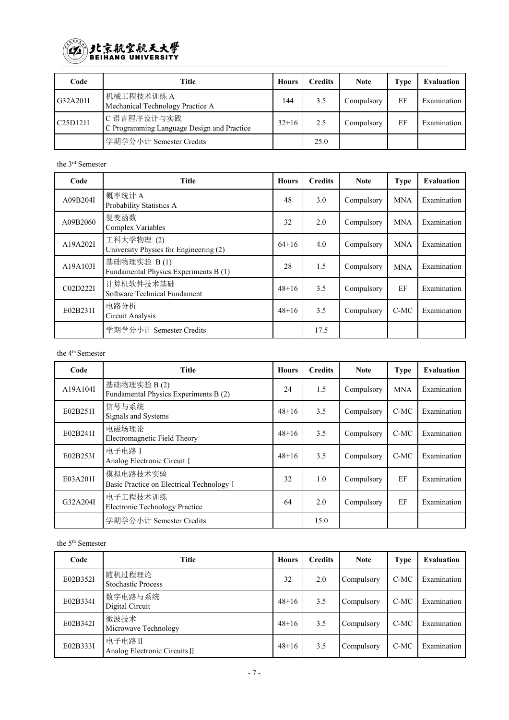

| Code     | Title                                                    | <b>Hours</b> | <b>Credits</b> | <b>Note</b> | Type | Evaluation  |
|----------|----------------------------------------------------------|--------------|----------------|-------------|------|-------------|
| G32A201I | 机械工程技术训练 A<br>Mechanical Technology Practice A           | 144          | 3.5            | Compulsory  | EF   | Examination |
| C25D121I | C语言程序设计与实践<br>C Programming Language Design and Practice | $32+16$      | 2.5            | Compulsory  | EF   | Examination |
|          | 学期学分小计 Semester Credits                                  |              | 25.0           |             |      |             |

the 3 rd Semester

| Code     | <b>Title</b>                                         | <b>Hours</b> | <b>Credits</b> | <b>Note</b> | <b>Type</b> | Evaluation  |
|----------|------------------------------------------------------|--------------|----------------|-------------|-------------|-------------|
| A09B204I | 概率统计A<br>Probability Statistics A                    | 48           | 3.0            | Compulsory  | <b>MNA</b>  | Examination |
| A09B2060 | 复变函数<br>Complex Variables                            | 32           | 2.0            | Compulsory  | <b>MNA</b>  | Examination |
| A19A202I | 工科大学物理(2)<br>University Physics for Engineering (2)  | $64+16$      | 4.0            | Compulsory  | <b>MNA</b>  | Examination |
| A19A103I | 基础物理实验 B(1)<br>Fundamental Physics Experiments B (1) | 28           | 1.5            | Compulsory  | <b>MNA</b>  | Examination |
| C02D222I | 计算机软件技术基础<br>Software Technical Fundament            | $48 + 16$    | 3.5            | Compulsory  | EF          | Examination |
| E02B231I | 电路分析<br>Circuit Analysis                             | $48 + 16$    | 3.5            | Compulsory  | $C-MC$      | Examination |
|          | 学期学分小计 Semester Credits                              |              | 17.5           |             |             |             |

the 4 th Semester

| Code     | <b>Title</b>                                          | Hours   | <b>Credits</b> | <b>Note</b> | <b>Type</b> | Evaluation  |
|----------|-------------------------------------------------------|---------|----------------|-------------|-------------|-------------|
| A19A104I | 基础物理实验 B(2)<br>Fundamental Physics Experiments B (2)  | 24      | 1.5            | Compulsory  | <b>MNA</b>  | Examination |
| E02B251I | 信号与系统<br>Signals and Systems                          | $48+16$ | 3.5            | Compulsory  | C-MC        | Examination |
| E02B241I | 电磁场理论<br>Electromagnetic Field Theory                 | $48+16$ | 3.5            | Compulsory  | C-MC        | Examination |
| E02B253I | 电子电路 I<br>Analog Electronic Circuit I                 | $48+16$ | 3.5            | Compulsory  | $C-MC$      | Examination |
| E03A201I | 模拟电路技术实验<br>Basic Practice on Electrical Technology I | 32      | 1.0            | Compulsory  | EF          | Examination |
| G32A204I | 电子工程技术训练<br><b>Electronic Technology Practice</b>     | 64      | 2.0            | Compulsory  | EF          | Examination |
|          | 学期学分小计 Semester Credits                               |         | 15.0           |             |             |             |

the 5 th Semester

| Code     | <b>Title</b>                            | Hours     | <b>Credits</b> | <b>Note</b>       | <b>Type</b> | Evaluation  |
|----------|-----------------------------------------|-----------|----------------|-------------------|-------------|-------------|
| E02B352I | 随机过程理论<br><b>Stochastic Process</b>     | 32        | 2.0            | Compulsory        | $C-MC$      | Examination |
| E02B334I | 数字电路与系统<br>Digital Circuit              | $48 + 16$ | 3.5            | Compulsory        | $C-MC$      | Examination |
| E02B342I | 微波技术<br>Microwave Technology            | $48 + 16$ | 3.5            | <b>Compulsory</b> | $C-MC$      | Examination |
| E02B333I | 电子电路II<br>Analog Electronic Circuits II | $48 + 16$ | 3.5            | Compulsory        | $C-MC$      | Examination |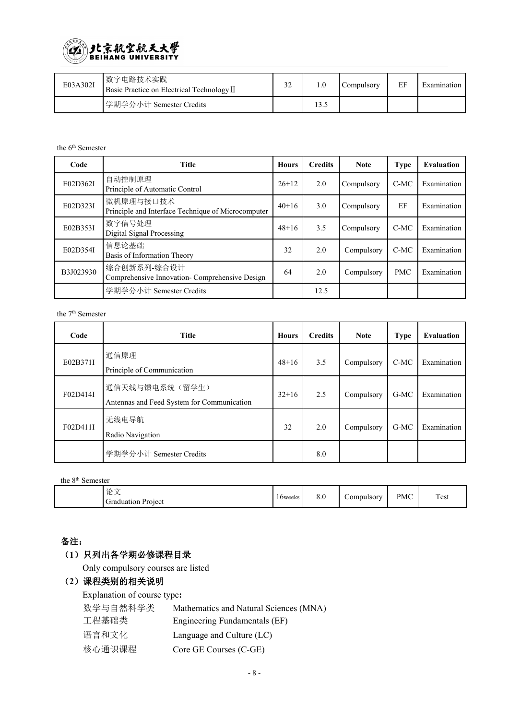

| E03A302I | 数字电路技术实践<br>Basic Practice on Electrical Technology II | $\mathcal{L}$<br>$\mathcal{L}$ |       | Compulsory | EF | Examination |
|----------|--------------------------------------------------------|--------------------------------|-------|------------|----|-------------|
|          | 学期学分小计 Semester Credits                                |                                | 1 J.J |            |    |             |

#### the 6 th Semester

| Code      | <b>Title</b>                                                    | <b>Hours</b> | <b>Credits</b> | <b>Note</b> | Type       | Evaluation  |
|-----------|-----------------------------------------------------------------|--------------|----------------|-------------|------------|-------------|
| E02D362I  | 自动控制原理<br>Principle of Automatic Control                        | $26+12$      | 2.0            | Compulsory  | $C-MC$     | Examination |
| E02D323I  | 微机原理与接口技术<br>Principle and Interface Technique of Microcomputer | $40+16$      | 3.0            | Compulsory  | EF         | Examination |
| E02B353I  | 数字信号处理<br>Digital Signal Processing                             | $48+16$      | 3.5            | Compulsory  | $C-MC$     | Examination |
| E02D354I  | 信息论基础<br>Basis of Information Theory                            | 32           | 2.0            | Compulsory  | $C-MC$     | Examination |
| B3J023930 | 综合创新系列-综合设计<br>Comprehensive Innovation-Comprehensive Design    | 64           | 2.0            | Compulsory  | <b>PMC</b> | Examination |
|           | 学期学分小计 Semester Credits                                         |              | 12.5           |             |            |             |

the 7 th Semester

| Code     | <b>Title</b>                                                 | <b>Hours</b> | <b>Credits</b> | <b>Note</b> | <b>Type</b> | Evaluation  |
|----------|--------------------------------------------------------------|--------------|----------------|-------------|-------------|-------------|
| E02B371I | 通信原理<br>Principle of Communication                           | $48 + 16$    | 3.5            | Compulsory  | $C-MC$      | Examination |
| F02D414I | 通信天线与馈电系统(留学生)<br>Antennas and Feed System for Communication | $32+16$      | 2.5            | Compulsory  | G-MC        | Examination |
| F02D411I | 无线电导航<br>Radio Navigation                                    | 32           | 2.0            | Compulsory  | $G-MC$      | Examination |
|          | 学期学分小计 Semester Credits                                      |              | 8.0            |             |             |             |

| the 8 <sup>th</sup> Semester |                                 |         |     |            |            |      |
|------------------------------|---------------------------------|---------|-----|------------|------------|------|
|                              | 论文<br><b>Graduation Project</b> | 16weeks | 8.0 | Compulsory | <b>PMC</b> | Test |

### 备注:

### (**1**)只列出各学期必修课程目录

Only compulsory courses are listed

### (**2**)课程类别的相关说明

Explanation of course type**:** 数学与自然科学类 Mathematics and Natural Sciences (MNA) 工程基础类 Engineering Fundamentals (EF) 语言和文化 Language and Culture (LC) 核心通识课程 Core GE Courses (C-GE)